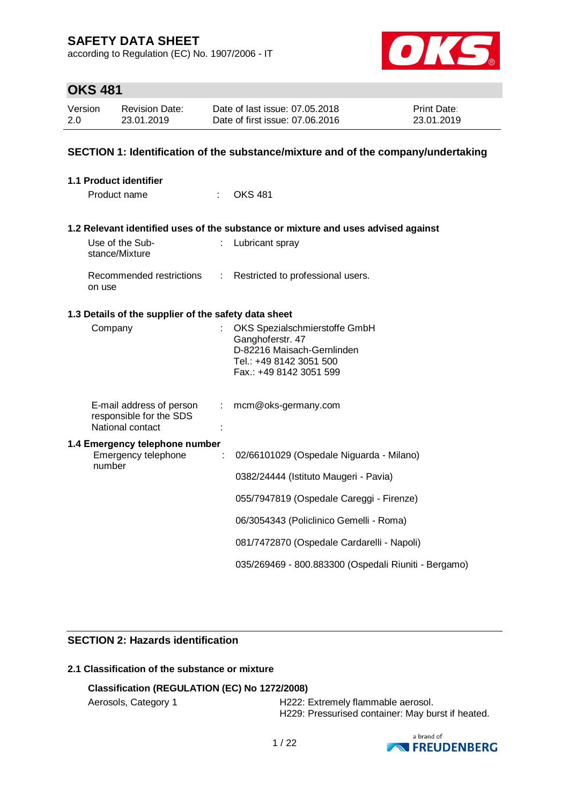according to Regulation (EC) No. 1907/2006 - IT



# **OKS 481**

| Version | <b>Revision Date:</b> | Date of last issue: 07.05.2018  | <b>Print Date:</b> |
|---------|-----------------------|---------------------------------|--------------------|
| 2.0     | 23.01.2019            | Date of first issue: 07.06.2016 | 23.01.2019         |

### **SECTION 1: Identification of the substance/mixture and of the company/undertaking**

| <b>1.1 Product identifier</b>                                           |                |                                                                                                                                       |
|-------------------------------------------------------------------------|----------------|---------------------------------------------------------------------------------------------------------------------------------------|
| Product name                                                            |                | <b>OKS 481</b>                                                                                                                        |
|                                                                         |                | 1.2 Relevant identified uses of the substance or mixture and uses advised against                                                     |
| Use of the Sub-<br>stance/Mixture                                       |                | Lubricant spray                                                                                                                       |
| Recommended restrictions<br>on use                                      | $\mathbb{R}^n$ | Restricted to professional users.                                                                                                     |
| 1.3 Details of the supplier of the safety data sheet                    |                |                                                                                                                                       |
| Company                                                                 |                | OKS Spezialschmierstoffe GmbH<br>Ganghoferstr. 47<br>D-82216 Maisach-Gernlinden<br>Tel.: +49 8142 3051 500<br>Fax.: +49 8142 3051 599 |
| E-mail address of person<br>responsible for the SDS<br>National contact | t.             | mcm@oks-germany.com                                                                                                                   |
| 1.4 Emergency telephone number<br>Emergency telephone                   | ÷              | 02/66101029 (Ospedale Niguarda - Milano)                                                                                              |
| number                                                                  |                | 0382/24444 (Istituto Maugeri - Pavia)                                                                                                 |
|                                                                         |                | 055/7947819 (Ospedale Careggi - Firenze)                                                                                              |
|                                                                         |                | 06/3054343 (Policlinico Gemelli - Roma)                                                                                               |
|                                                                         |                | 081/7472870 (Ospedale Cardarelli - Napoli)                                                                                            |
|                                                                         |                | 035/269469 - 800.883300 (Ospedali Riuniti - Bergamo)                                                                                  |

### **SECTION 2: Hazards identification**

## **2.1 Classification of the substance or mixture**

### **Classification (REGULATION (EC) No 1272/2008)**

Aerosols, Category 1 **H222: Extremely flammable aerosol.** H229: Pressurised container: May burst if heated.

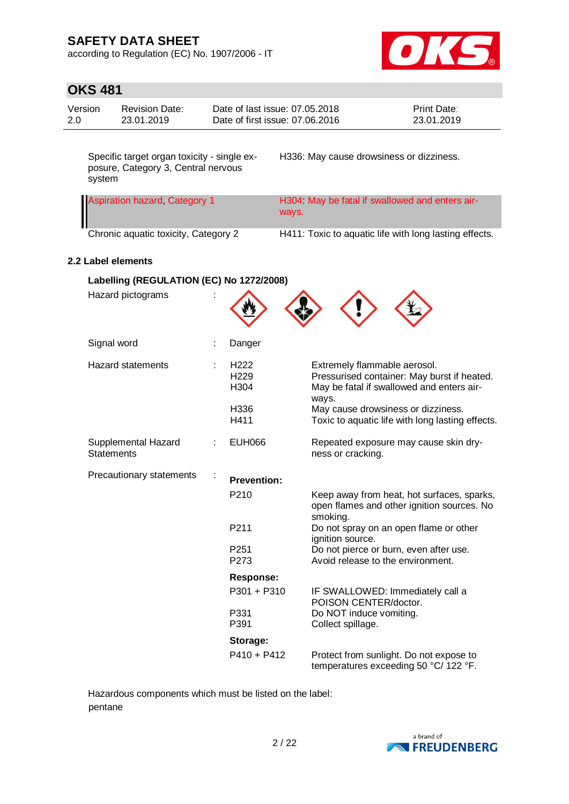according to Regulation (EC) No. 1907/2006 - IT



# **OKS 481**

| Version | Revision Date: | Date of last issue: 07.05.2018  | <b>Print Date:</b> |
|---------|----------------|---------------------------------|--------------------|
| 2.0     | 23.01.2019     | Date of first issue: 07.06.2016 | 23.01.2019         |

Specific target organ toxicity - single exposure, Category 3, Central nervous system

H336: May cause drowsiness or dizziness.

| <b>Aspiration hazard, Category 1</b> | H304 May be fatal if swallowed and enters air-<br>ways. |
|--------------------------------------|---------------------------------------------------------|
| Chronic aquatic toxicity, Category 2 | H411: Toxic to aquatic life with long lasting effects.  |

### **2.2 Label elements**

| Labelling (REGULATION (EC) No 1272/2008) |                                                      |                                                                                                                                                                         |
|------------------------------------------|------------------------------------------------------|-------------------------------------------------------------------------------------------------------------------------------------------------------------------------|
| Hazard pictograms                        |                                                      |                                                                                                                                                                         |
| Signal word                              | Danger                                               |                                                                                                                                                                         |
| <b>Hazard statements</b>                 | H <sub>222</sub><br>H <sub>229</sub><br>H304<br>H336 | Extremely flammable aerosol.<br>Pressurised container: May burst if heated.<br>May be fatal if swallowed and enters air-<br>ways.<br>May cause drowsiness or dizziness. |
|                                          | H411                                                 | Toxic to aquatic life with long lasting effects.                                                                                                                        |
| Supplemental Hazard<br><b>Statements</b> | <b>EUH066</b>                                        | Repeated exposure may cause skin dry-<br>ness or cracking.                                                                                                              |
| Precautionary statements                 | <b>Prevention:</b>                                   |                                                                                                                                                                         |
|                                          | P <sub>210</sub>                                     | Keep away from heat, hot surfaces, sparks,<br>open flames and other ignition sources. No<br>smoking.                                                                    |
|                                          | P211                                                 | Do not spray on an open flame or other<br>ignition source.                                                                                                              |
|                                          | P <sub>251</sub><br>P273                             | Do not pierce or burn, even after use.<br>Avoid release to the environment.                                                                                             |
|                                          | <b>Response:</b>                                     |                                                                                                                                                                         |
|                                          | P301 + P310                                          | IF SWALLOWED: Immediately call a<br>POISON CENTER/doctor.                                                                                                               |
|                                          | P331<br>P391                                         | Do NOT induce vomiting.<br>Collect spillage.                                                                                                                            |
|                                          | Storage:                                             |                                                                                                                                                                         |
|                                          | $P410 + P412$                                        | Protect from sunlight. Do not expose to<br>temperatures exceeding 50 °C/ 122 °F.                                                                                        |

Hazardous components which must be listed on the label: pentane

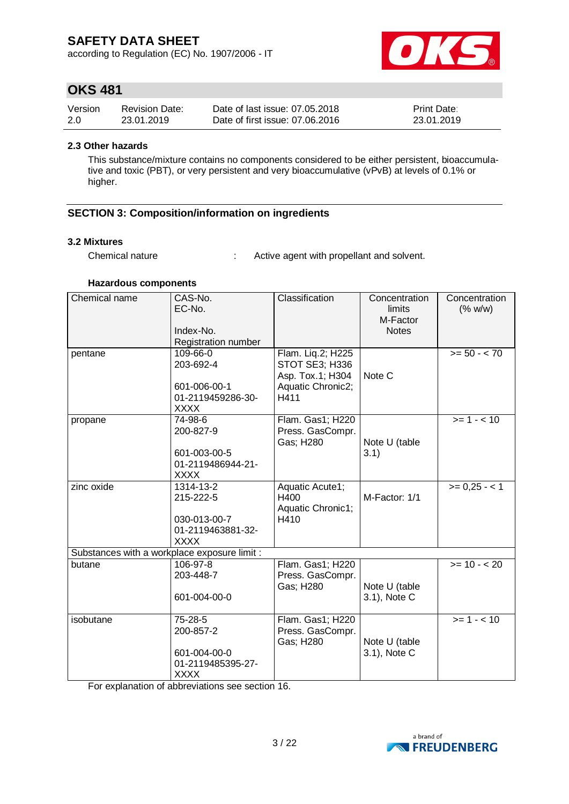according to Regulation (EC) No. 1907/2006 - IT



## **OKS 481**

| Version | <b>Revision Date:</b> | Date of last issue: 07.05.2018  | <b>Print Date:</b> |
|---------|-----------------------|---------------------------------|--------------------|
| 2.0     | 23.01.2019            | Date of first issue: 07.06.2016 | 23.01.2019         |

#### **2.3 Other hazards**

This substance/mixture contains no components considered to be either persistent, bioaccumulative and toxic (PBT), or very persistent and very bioaccumulative (vPvB) at levels of 0.1% or higher.

### **SECTION 3: Composition/information on ingredients**

#### **3.2 Mixtures**

Chemical nature : Active agent with propellant and solvent.

#### **Hazardous components**

| Chemical name                                | CAS-No.<br>EC-No.<br>Index-No.<br>Registration number | Classification                     | Concentration<br>limits<br>M-Factor<br><b>Notes</b> | Concentration<br>(% w/w)  |
|----------------------------------------------|-------------------------------------------------------|------------------------------------|-----------------------------------------------------|---------------------------|
| pentane                                      | 109-66-0                                              | Flam. Liq.2; H225                  |                                                     | $>= 50 - < 70$            |
|                                              | 203-692-4                                             | STOT SE3; H336<br>Asp. Tox.1; H304 | Note C                                              |                           |
|                                              | 601-006-00-1                                          | Aquatic Chronic2;                  |                                                     |                           |
|                                              | 01-2119459286-30-<br><b>XXXX</b>                      | H411                               |                                                     |                           |
| propane                                      | 74-98-6                                               | Flam. Gas1; H220                   |                                                     | $>= 1 - 10$               |
|                                              | 200-827-9                                             | Press. GasCompr.<br>Gas; H280      | Note U (table                                       |                           |
|                                              | 601-003-00-5                                          |                                    | 3.1)                                                |                           |
|                                              | 01-2119486944-21-                                     |                                    |                                                     |                           |
|                                              | <b>XXXX</b>                                           |                                    |                                                     |                           |
| zinc oxide                                   | 1314-13-2<br>215-222-5                                | Aquatic Acute1;<br>H400            | M-Factor: 1/1                                       | $>= 0,25 - 1$             |
|                                              |                                                       | Aquatic Chronic1;                  |                                                     |                           |
|                                              | 030-013-00-7                                          | H410                               |                                                     |                           |
|                                              | 01-2119463881-32-                                     |                                    |                                                     |                           |
|                                              | <b>XXXX</b>                                           |                                    |                                                     |                           |
| Substances with a workplace exposure limit : |                                                       |                                    |                                                     |                           |
| butane                                       | 106-97-8                                              | Flam. Gas1; H220                   |                                                     | $\overline{>=}$ 10 - < 20 |
|                                              | 203-448-7                                             | Press. GasCompr.<br>Gas; H280      | Note U (table                                       |                           |
|                                              | 601-004-00-0                                          |                                    | 3.1), Note C                                        |                           |
|                                              |                                                       |                                    |                                                     |                           |
| isobutane                                    | 75-28-5                                               | Flam. Gas1; H220                   |                                                     | $>= 1 - 10$               |
|                                              | 200-857-2                                             | Press. GasCompr.                   |                                                     |                           |
|                                              |                                                       | Gas; H280                          | Note U (table                                       |                           |
|                                              | 601-004-00-0                                          |                                    | 3.1), Note C                                        |                           |
|                                              | 01-2119485395-27-<br><b>XXXX</b>                      |                                    |                                                     |                           |
|                                              |                                                       |                                    |                                                     |                           |

For explanation of abbreviations see section 16.

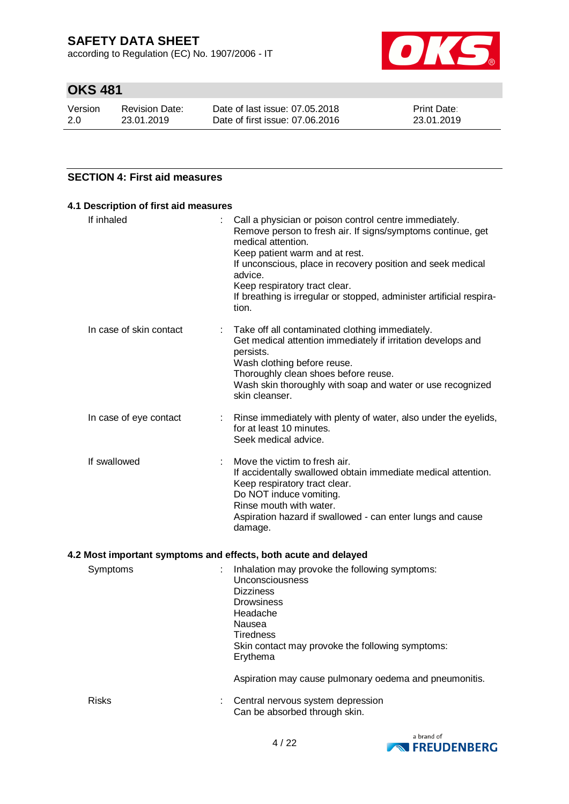according to Regulation (EC) No. 1907/2006 - IT



# **OKS 481**

| Version | <b>Revision Date:</b> | Date of last issue: 07.05.2018  | <b>Print Date:</b> |
|---------|-----------------------|---------------------------------|--------------------|
| 2.0     | 23.01.2019            | Date of first issue: 07,06,2016 | 23.01.2019         |

### **SECTION 4: First aid measures**

| 4.1 Description of first aid measures |                                                                                                                                                                                                                                                                                                                                                                           |
|---------------------------------------|---------------------------------------------------------------------------------------------------------------------------------------------------------------------------------------------------------------------------------------------------------------------------------------------------------------------------------------------------------------------------|
| If inhaled                            | Call a physician or poison control centre immediately.<br>Remove person to fresh air. If signs/symptoms continue, get<br>medical attention.<br>Keep patient warm and at rest.<br>If unconscious, place in recovery position and seek medical<br>advice.<br>Keep respiratory tract clear.<br>If breathing is irregular or stopped, administer artificial respira-<br>tion. |
| In case of skin contact               | Take off all contaminated clothing immediately.<br>Get medical attention immediately if irritation develops and<br>persists.<br>Wash clothing before reuse.<br>Thoroughly clean shoes before reuse.<br>Wash skin thoroughly with soap and water or use recognized<br>skin cleanser.                                                                                       |
| In case of eye contact                | Rinse immediately with plenty of water, also under the eyelids,<br>÷.<br>for at least 10 minutes.<br>Seek medical advice.                                                                                                                                                                                                                                                 |
| If swallowed                          | Move the victim to fresh air.<br>If accidentally swallowed obtain immediate medical attention.<br>Keep respiratory tract clear.<br>Do NOT induce vomiting.<br>Rinse mouth with water.<br>Aspiration hazard if swallowed - can enter lungs and cause<br>damage.                                                                                                            |
|                                       | 4.2 Most important symptoms and effects, both acute and delayed                                                                                                                                                                                                                                                                                                           |
| Symptoms                              | Inhalation may provoke the following symptoms:<br>Unconsciousness<br><b>Dizziness</b><br><b>Drowsiness</b><br>Headache<br>Nausea                                                                                                                                                                                                                                          |



Can be absorbed through skin.

Skin contact may provoke the following symptoms:

Aspiration may cause pulmonary oedema and pneumonitis.

**Tiredness** 

Erythema

Risks : Central nervous system depression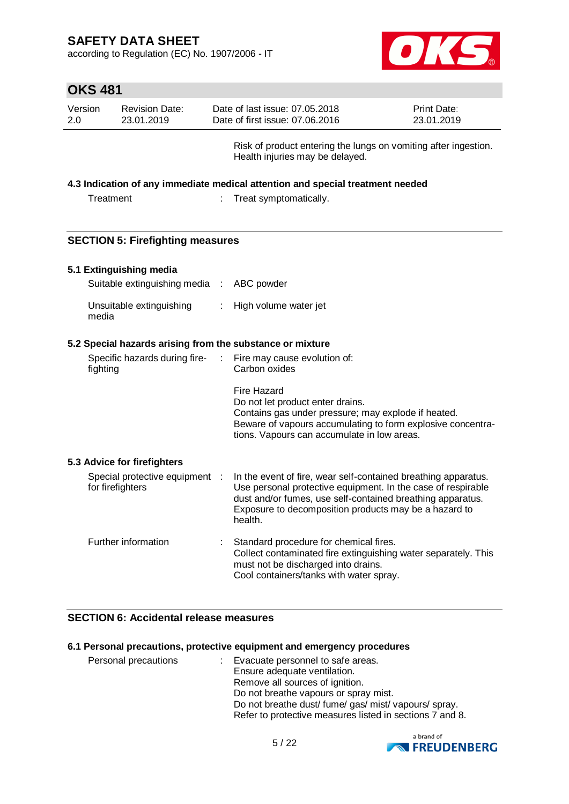according to Regulation (EC) No. 1907/2006 - IT



|                | <b>OKS 481</b>                                            |           |                                                                                                                                                                                                                                                                  |                           |
|----------------|-----------------------------------------------------------|-----------|------------------------------------------------------------------------------------------------------------------------------------------------------------------------------------------------------------------------------------------------------------------|---------------------------|
| Version<br>2.0 | <b>Revision Date:</b><br>23.01.2019                       |           | Date of last issue: 07.05.2018<br>Date of first issue: 07.06.2016                                                                                                                                                                                                | Print Date:<br>23.01.2019 |
|                |                                                           |           | Risk of product entering the lungs on vomiting after ingestion.<br>Health injuries may be delayed.                                                                                                                                                               |                           |
|                |                                                           |           | 4.3 Indication of any immediate medical attention and special treatment needed                                                                                                                                                                                   |                           |
|                | Treatment                                                 |           | Treat symptomatically.                                                                                                                                                                                                                                           |                           |
|                | <b>SECTION 5: Firefighting measures</b>                   |           |                                                                                                                                                                                                                                                                  |                           |
|                | 5.1 Extinguishing media                                   |           |                                                                                                                                                                                                                                                                  |                           |
|                | Suitable extinguishing media                              | $\sim$ 10 | ABC powder                                                                                                                                                                                                                                                       |                           |
|                | Unsuitable extinguishing<br>media                         |           | High volume water jet                                                                                                                                                                                                                                            |                           |
|                | 5.2 Special hazards arising from the substance or mixture |           |                                                                                                                                                                                                                                                                  |                           |
|                | Specific hazards during fire-<br>fighting                 |           | Fire may cause evolution of:<br>Carbon oxides                                                                                                                                                                                                                    |                           |
|                |                                                           |           | <b>Fire Hazard</b><br>Do not let product enter drains.<br>Contains gas under pressure; may explode if heated.<br>Beware of vapours accumulating to form explosive concentra-<br>tions. Vapours can accumulate in low areas.                                      |                           |
|                | 5.3 Advice for firefighters                               |           |                                                                                                                                                                                                                                                                  |                           |
|                | Special protective equipment :<br>for firefighters        |           | In the event of fire, wear self-contained breathing apparatus.<br>Use personal protective equipment. In the case of respirable<br>dust and/or fumes, use self-contained breathing apparatus.<br>Exposure to decomposition products may be a hazard to<br>health. |                           |
|                | Further information                                       |           | Standard procedure for chemical fires.<br>Collect contaminated fire extinguishing water separately. This<br>must not be discharged into drains.<br>Cool containers/tanks with water spray.                                                                       |                           |

### **SECTION 6: Accidental release measures**

#### **6.1 Personal precautions, protective equipment and emergency procedures**

| Personal precautions | : Evacuate personnel to safe areas.<br>Ensure adequate ventilation.<br>Remove all sources of ignition.<br>Do not breathe vapours or spray mist.<br>Do not breathe dust/ fume/ gas/ mist/ vapours/ spray.<br>Refer to protective measures listed in sections 7 and 8. |
|----------------------|----------------------------------------------------------------------------------------------------------------------------------------------------------------------------------------------------------------------------------------------------------------------|
|----------------------|----------------------------------------------------------------------------------------------------------------------------------------------------------------------------------------------------------------------------------------------------------------------|

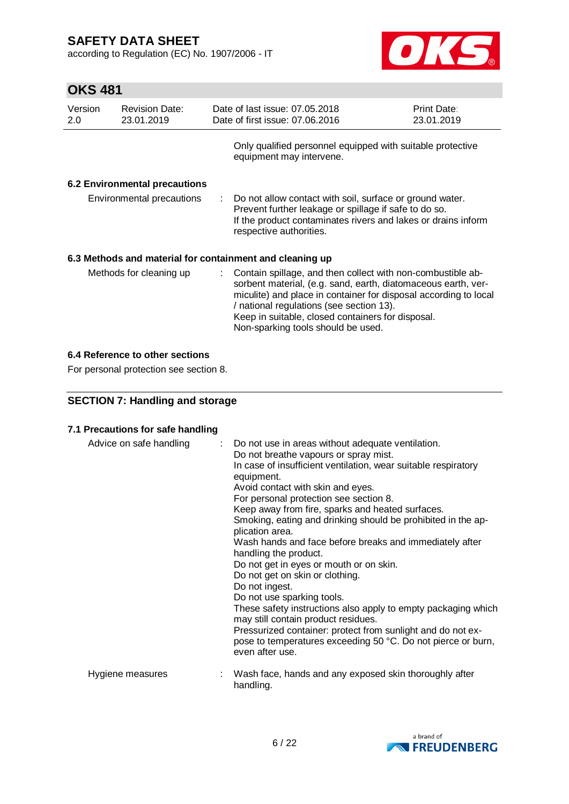according to Regulation (EC) No. 1907/2006 - IT



# **OKS 481**

| Version<br>2.0 | <b>Revision Date:</b><br>23.01.2019 | Date of last issue: 07.05.2018<br>Date of first issue: 07.06.2016                                                                                                                                                                                                                                                                         | Print Date:<br>23.01.2019 |
|----------------|-------------------------------------|-------------------------------------------------------------------------------------------------------------------------------------------------------------------------------------------------------------------------------------------------------------------------------------------------------------------------------------------|---------------------------|
|                |                                     | Only qualified personnel equipped with suitable protective<br>equipment may intervene.                                                                                                                                                                                                                                                    |                           |
|                | 6.2 Environmental precautions       |                                                                                                                                                                                                                                                                                                                                           |                           |
|                | Environmental precautions           | : Do not allow contact with soil, surface or ground water.<br>Prevent further leakage or spillage if safe to do so.<br>If the product contaminates rivers and lakes or drains inform<br>respective authorities.                                                                                                                           |                           |
|                |                                     | 6.3 Methods and material for containment and cleaning up                                                                                                                                                                                                                                                                                  |                           |
|                | Methods for cleaning up             | : Contain spillage, and then collect with non-combustible ab-<br>sorbent material, (e.g. sand, earth, diatomaceous earth, ver-<br>miculite) and place in container for disposal according to local<br>/ national regulations (see section 13).<br>Keep in suitable, closed containers for disposal.<br>Non-sparking tools should be used. |                           |

### **6.4 Reference to other sections**

For personal protection see section 8.

### **SECTION 7: Handling and storage**

### **7.1 Precautions for safe handling**

| Advice on safe handling | : Do not use in areas without adequate ventilation.<br>Do not breathe vapours or spray mist.<br>In case of insufficient ventilation, wear suitable respiratory<br>equipment.<br>Avoid contact with skin and eyes.<br>For personal protection see section 8.<br>Keep away from fire, sparks and heated surfaces.<br>Smoking, eating and drinking should be prohibited in the ap-<br>plication area.<br>Wash hands and face before breaks and immediately after<br>handling the product.<br>Do not get in eyes or mouth or on skin.<br>Do not get on skin or clothing.<br>Do not ingest.<br>Do not use sparking tools.<br>These safety instructions also apply to empty packaging which<br>may still contain product residues.<br>Pressurized container: protect from sunlight and do not ex-<br>pose to temperatures exceeding 50 °C. Do not pierce or burn,<br>even after use. |  |
|-------------------------|--------------------------------------------------------------------------------------------------------------------------------------------------------------------------------------------------------------------------------------------------------------------------------------------------------------------------------------------------------------------------------------------------------------------------------------------------------------------------------------------------------------------------------------------------------------------------------------------------------------------------------------------------------------------------------------------------------------------------------------------------------------------------------------------------------------------------------------------------------------------------------|--|
| Hygiene measures        | Wash face, hands and any exposed skin thoroughly after<br>handling.                                                                                                                                                                                                                                                                                                                                                                                                                                                                                                                                                                                                                                                                                                                                                                                                            |  |

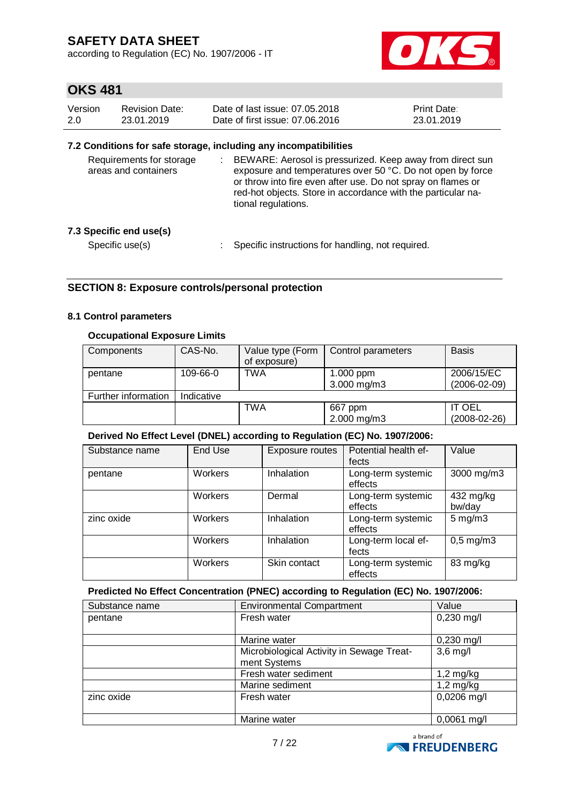according to Regulation (EC) No. 1907/2006 - IT



## **OKS 481**

| Version | Revision Date: | Date of last issue: 07.05.2018  | <b>Print Date:</b> |
|---------|----------------|---------------------------------|--------------------|
| 2.0     | 23.01.2019     | Date of first issue: 07.06.2016 | 23.01.2019         |

### **7.2 Conditions for safe storage, including any incompatibilities**

| Requirements for storage<br>areas and containers | BEWARE: Aerosol is pressurized. Keep away from direct sun<br>exposure and temperatures over 50 °C. Do not open by force<br>or throw into fire even after use. Do not spray on flames or<br>red-hot objects. Store in accordance with the particular na-<br>tional regulations. |
|--------------------------------------------------|--------------------------------------------------------------------------------------------------------------------------------------------------------------------------------------------------------------------------------------------------------------------------------|
| 7.3 Specific end use(s)                          |                                                                                                                                                                                                                                                                                |
| Specific use(s)                                  | Specific instructions for handling, not required.                                                                                                                                                                                                                              |

### **SECTION 8: Exposure controls/personal protection**

#### **8.1 Control parameters**

### **Occupational Exposure Limits**

| Components          | CAS-No.    | Value type (Form<br>of exposure) | Control parameters       | <b>Basis</b>                     |
|---------------------|------------|----------------------------------|--------------------------|----------------------------------|
| pentane             | 109-66-0   | TWA                              | 1.000 ppm<br>3.000 mg/m3 | 2006/15/EC<br>$(2006 - 02 - 09)$ |
| Further information | Indicative |                                  |                          |                                  |
|                     |            | TWA                              | 667 ppm<br>2.000 mg/m3   | <b>IT OEL</b><br>$(2008-02-26)$  |

#### **Derived No Effect Level (DNEL) according to Regulation (EC) No. 1907/2006:**

| Substance name | End Use        | Exposure routes | Potential health ef-<br>fects | Value               |
|----------------|----------------|-----------------|-------------------------------|---------------------|
| pentane        | Workers        | Inhalation      | Long-term systemic<br>effects | 3000 mg/m3          |
|                | Workers        | Dermal          | Long-term systemic<br>effects | 432 mg/kg<br>bw/day |
| zinc oxide     | Workers        | Inhalation      | Long-term systemic<br>effects | $5 \text{ mg/m}$ 3  |
|                | Workers        | Inhalation      | Long-term local ef-<br>fects  | $0,5$ mg/m $3$      |
|                | <b>Workers</b> | Skin contact    | Long-term systemic<br>effects | 83 mg/kg            |

### **Predicted No Effect Concentration (PNEC) according to Regulation (EC) No. 1907/2006:**

| Substance name | <b>Environmental Compartment</b>                          | Value         |
|----------------|-----------------------------------------------------------|---------------|
| pentane        | Fresh water                                               | $0,230$ mg/l  |
|                | Marine water                                              | $0,230$ mg/l  |
|                | Microbiological Activity in Sewage Treat-<br>ment Systems | $3,6$ mg/l    |
|                | Fresh water sediment                                      | $1,2$ mg/kg   |
|                | Marine sediment                                           | $1,2$ mg/kg   |
| zinc oxide     | Fresh water                                               | 0,0206 mg/l   |
|                | Marine water                                              | $0,0061$ mg/l |

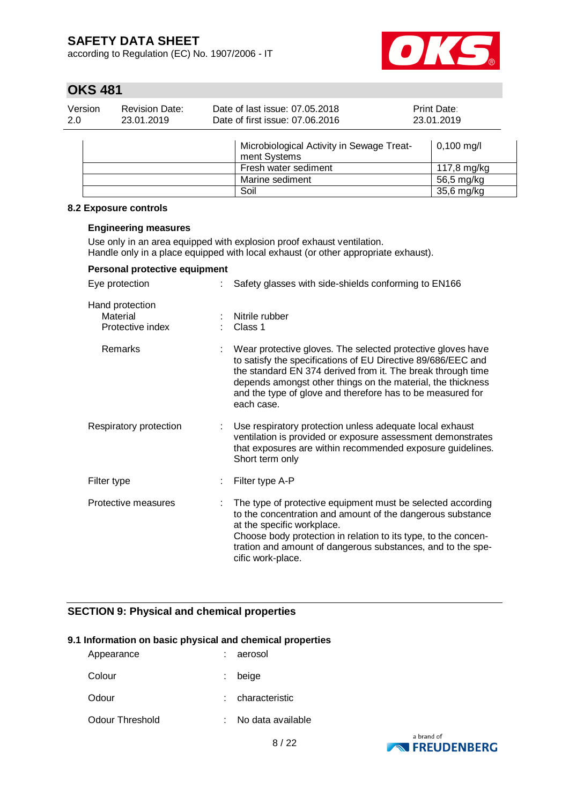according to Regulation (EC) No. 1907/2006 - IT



# **OKS 481**

| Version<br>Date of last issue: 07.05.2018<br><b>Revision Date:</b><br><b>Print Date:</b><br>Date of first issue: 07.06.2016<br>2.0<br>23.01.2019<br>23.01.2019 |  |
|----------------------------------------------------------------------------------------------------------------------------------------------------------------|--|
|----------------------------------------------------------------------------------------------------------------------------------------------------------------|--|

| Microbiological Activity in Sewage Treat-<br>ment Systems | $0,100 \text{ mg/l}$ |
|-----------------------------------------------------------|----------------------|
| Fresh water sediment                                      | 117,8 mg/kg          |
| Marine sediment                                           | 56,5 mg/kg           |
| Soil                                                      | 35,6 mg/kg           |

#### **8.2 Exposure controls**

#### **Engineering measures**

Use only in an area equipped with explosion proof exhaust ventilation. Handle only in a place equipped with local exhaust (or other appropriate exhaust).

### **Personal protective equipment**

| Eye protection                                  | Safety glasses with side-shields conforming to EN166                                                                                                                                                                                                                                                                                  |
|-------------------------------------------------|---------------------------------------------------------------------------------------------------------------------------------------------------------------------------------------------------------------------------------------------------------------------------------------------------------------------------------------|
| Hand protection<br>Material<br>Protective index | Nitrile rubber<br>Class 1                                                                                                                                                                                                                                                                                                             |
| Remarks                                         | Wear protective gloves. The selected protective gloves have<br>to satisfy the specifications of EU Directive 89/686/EEC and<br>the standard EN 374 derived from it. The break through time<br>depends amongst other things on the material, the thickness<br>and the type of glove and therefore has to be measured for<br>each case. |
| Respiratory protection                          | Use respiratory protection unless adequate local exhaust<br>ventilation is provided or exposure assessment demonstrates<br>that exposures are within recommended exposure guidelines.<br>Short term only                                                                                                                              |
| Filter type                                     | Filter type A-P                                                                                                                                                                                                                                                                                                                       |
| Protective measures                             | The type of protective equipment must be selected according<br>to the concentration and amount of the dangerous substance<br>at the specific workplace.<br>Choose body protection in relation to its type, to the concen-<br>tration and amount of dangerous substances, and to the spe-<br>cific work-place.                         |

### **SECTION 9: Physical and chemical properties**

#### **9.1 Information on basic physical and chemical properties**

| Appearance      | : aerosol           |
|-----------------|---------------------|
| Colour          | $:$ beige           |
| Odour           | : characteristic    |
| Odour Threshold | : No data available |

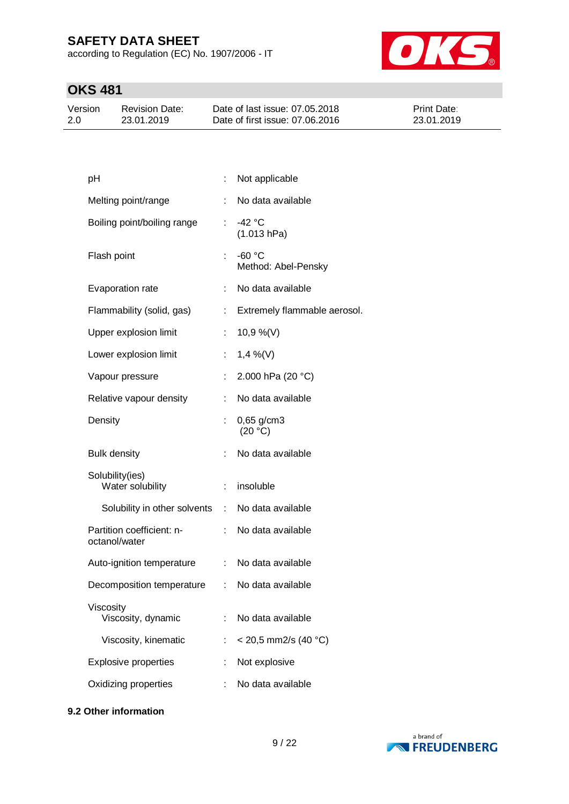according to Regulation (EC) No. 1907/2006 - IT



# **OKS 481**

| Version | Revision Date: | Date of last issue: 07.05.2018  | <b>Print Date:</b> |
|---------|----------------|---------------------------------|--------------------|
| 2.0     | 23.01.2019     | Date of first issue: 07,06,2016 | 23.01.2019         |

| рH                                         |                           | Not applicable                  |
|--------------------------------------------|---------------------------|---------------------------------|
| Melting point/range                        | ÷.                        | No data available               |
| Boiling point/boiling range                | $\mathbb{R}^{\mathbb{Z}}$ | $-42 °C$<br>(1.013 hPa)         |
| Flash point                                |                           | $-60 °C$<br>Method: Abel-Pensky |
| Evaporation rate                           |                           | No data available               |
| Flammability (solid, gas)                  |                           | Extremely flammable aerosol.    |
| Upper explosion limit                      | t                         | $10,9\%$ (V)                    |
| Lower explosion limit                      | t.                        | $1,4\%$ (V)                     |
| Vapour pressure                            | t.                        | 2.000 hPa (20 °C)               |
| Relative vapour density                    |                           | No data available               |
| Density                                    |                           | 0,65 g/cm3<br>(20 °C)           |
| <b>Bulk density</b>                        |                           | No data available               |
| Solubility(ies)<br>Water solubility        | ÷.                        | insoluble                       |
| Solubility in other solvents               | $\sim 100$                | No data available               |
| Partition coefficient: n-<br>octanol/water |                           | No data available               |
| Auto-ignition temperature                  | t.                        | No data available               |
| Decomposition temperature                  | ÷.                        | No data available               |
| Viscosity<br>Viscosity, dynamic            | t.                        | No data available               |
| Viscosity, kinematic                       | t.                        | $<$ 20,5 mm2/s (40 °C)          |
| <b>Explosive properties</b>                |                           | Not explosive                   |
| Oxidizing properties                       |                           | No data available               |
|                                            |                           |                                 |

#### **9.2 Other information**

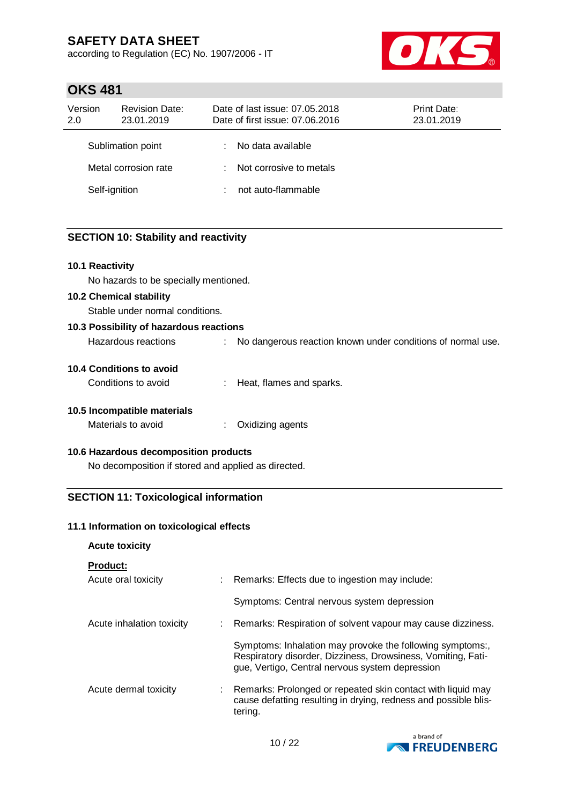according to Regulation (EC) No. 1907/2006 - IT



## **OKS 481**

| Version<br>2.0       | <b>Revision Date:</b><br>23.01.2019 | Date of last issue: 07.05.2018<br>Print Date:<br>Date of first issue: 07.06.2016<br>23.01.2019 |                         |  |  |
|----------------------|-------------------------------------|------------------------------------------------------------------------------------------------|-------------------------|--|--|
|                      | Sublimation point                   | ÷                                                                                              | No data available       |  |  |
| Metal corrosion rate |                                     | t.                                                                                             | Not corrosive to metals |  |  |
| Self-ignition        |                                     |                                                                                                | not auto-flammable      |  |  |

### **SECTION 10: Stability and reactivity**

### **10.1 Reactivity**

No hazards to be specially mentioned.

#### **10.2 Chemical stability**

Stable under normal conditions.

#### **10.3 Possibility of hazardous reactions** Hazardous reactions : No dangerous reaction known under conditions of normal use.

| Tiazajuvus Itauliviis | <u>INO GAILGEFOUS FEACHOLL NEIGWEI GEIGEL COLIGINOLIS OF</u> |
|-----------------------|--------------------------------------------------------------|
|                       |                                                              |

#### **10.4 Conditions to avoid**

| Conditions to avoid |  | Heat, flames and sparks. |
|---------------------|--|--------------------------|
|---------------------|--|--------------------------|

### **10.5 Incompatible materials**

| Materials to avoid | Oxidizing agents |
|--------------------|------------------|
|                    |                  |

#### **10.6 Hazardous decomposition products**

No decomposition if stored and applied as directed.

### **SECTION 11: Toxicological information**

#### **11.1 Information on toxicological effects**

#### **Acute toxicity**

#### **Product:**

| --------                  |    |                                                                                                                                                                              |
|---------------------------|----|------------------------------------------------------------------------------------------------------------------------------------------------------------------------------|
| Acute oral toxicity       | t. | Remarks: Effects due to ingestion may include:                                                                                                                               |
|                           |    | Symptoms: Central nervous system depression                                                                                                                                  |
| Acute inhalation toxicity | ÷  | Remarks: Respiration of solvent vapour may cause dizziness.                                                                                                                  |
|                           |    | Symptoms: Inhalation may provoke the following symptoms:,<br>Respiratory disorder, Dizziness, Drowsiness, Vomiting, Fati-<br>gue, Vertigo, Central nervous system depression |
| Acute dermal toxicity     |    | Remarks: Prolonged or repeated skin contact with liquid may<br>cause defatting resulting in drying, redness and possible blis-<br>tering.                                    |

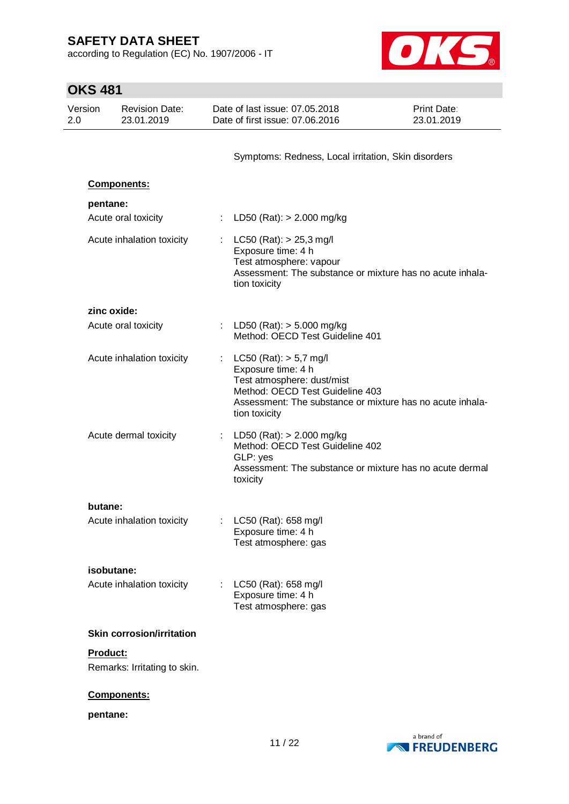according to Regulation (EC) No. 1907/2006 - IT



| <b>OKS 481</b> |                                                |                                  |                           |                                                                                                                                                                                                 |                           |
|----------------|------------------------------------------------|----------------------------------|---------------------------|-------------------------------------------------------------------------------------------------------------------------------------------------------------------------------------------------|---------------------------|
| 2.0            | Version<br><b>Revision Date:</b><br>23.01.2019 |                                  |                           | Date of last issue: 07,05,2018<br>Date of first issue: 07.06.2016                                                                                                                               | Print Date:<br>23.01.2019 |
|                |                                                |                                  |                           | Symptoms: Redness, Local irritation, Skin disorders                                                                                                                                             |                           |
|                | <b>Components:</b>                             |                                  |                           |                                                                                                                                                                                                 |                           |
|                | pentane:<br>Acute oral toxicity                |                                  |                           | LD50 (Rat): $> 2.000$ mg/kg                                                                                                                                                                     |                           |
|                |                                                | Acute inhalation toxicity        |                           | $LC50$ (Rat): $> 25.3$ mg/l<br>Exposure time: 4 h<br>Test atmosphere: vapour<br>Assessment: The substance or mixture has no acute inhala-<br>tion toxicity                                      |                           |
|                | zinc oxide:                                    |                                  |                           |                                                                                                                                                                                                 |                           |
|                | Acute oral toxicity                            |                                  |                           | : LD50 (Rat): $>$ 5.000 mg/kg<br>Method: OECD Test Guideline 401                                                                                                                                |                           |
|                |                                                | Acute inhalation toxicity        | $\mathbb{Z}^{\mathbb{Z}}$ | $LC50$ (Rat): $> 5.7$ mg/l<br>Exposure time: 4 h<br>Test atmosphere: dust/mist<br>Method: OECD Test Guideline 403<br>Assessment: The substance or mixture has no acute inhala-<br>tion toxicity |                           |
|                |                                                | Acute dermal toxicity            |                           | : LD50 (Rat): $> 2.000$ mg/kg<br>Method: OECD Test Guideline 402<br>GLP: yes<br>Assessment: The substance or mixture has no acute dermal<br>toxicity                                            |                           |
|                | butane:                                        |                                  |                           |                                                                                                                                                                                                 |                           |
|                |                                                | Acute inhalation toxicity        |                           | LC50 (Rat): 658 mg/l<br>Exposure time: 4 h<br>Test atmosphere: gas                                                                                                                              |                           |
|                | isobutane:                                     |                                  |                           |                                                                                                                                                                                                 |                           |
|                |                                                | Acute inhalation toxicity        |                           | LC50 (Rat): 658 mg/l<br>Exposure time: 4 h<br>Test atmosphere: gas                                                                                                                              |                           |
|                |                                                | <b>Skin corrosion/irritation</b> |                           |                                                                                                                                                                                                 |                           |
|                | Product:                                       | Remarks: Irritating to skin.     |                           |                                                                                                                                                                                                 |                           |
|                | Components:                                    |                                  |                           |                                                                                                                                                                                                 |                           |
|                | pentane:                                       |                                  |                           |                                                                                                                                                                                                 |                           |

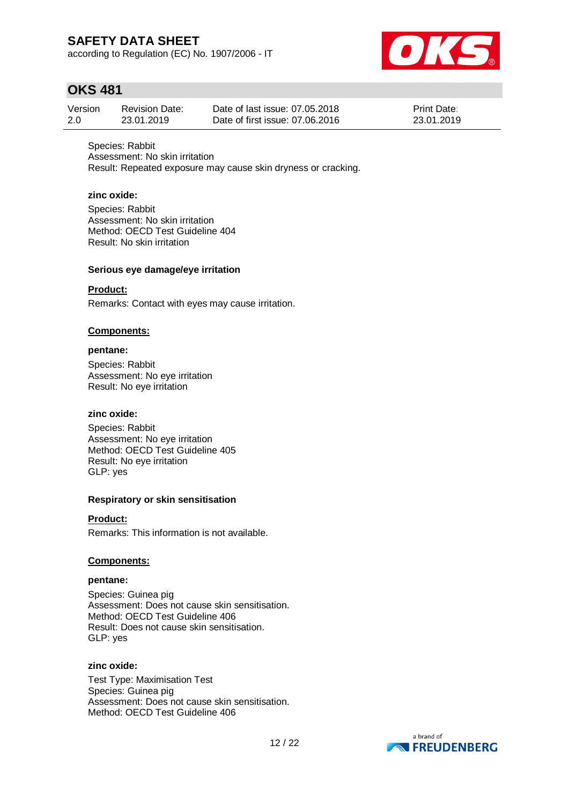according to Regulation (EC) No. 1907/2006 - IT



## **OKS 481**

| Version | <b>Revision Date:</b> | Date of last issue: 07.05.2018  | <b>Print Date:</b> |
|---------|-----------------------|---------------------------------|--------------------|
| 2.0     | 23.01.2019            | Date of first issue: 07.06.2016 | 23.01.2019         |

Species: Rabbit Assessment: No skin irritation Result: Repeated exposure may cause skin dryness or cracking.

#### **zinc oxide:**

Species: Rabbit Assessment: No skin irritation Method: OECD Test Guideline 404 Result: No skin irritation

#### **Serious eye damage/eye irritation**

### **Product:**

Remarks: Contact with eyes may cause irritation.

#### **Components:**

### **pentane:**

Species: Rabbit Assessment: No eye irritation Result: No eye irritation

#### **zinc oxide:**

Species: Rabbit Assessment: No eye irritation Method: OECD Test Guideline 405 Result: No eye irritation GLP: yes

#### **Respiratory or skin sensitisation**

#### **Product:**

Remarks: This information is not available.

#### **Components:**

#### **pentane:**

Species: Guinea pig Assessment: Does not cause skin sensitisation. Method: OECD Test Guideline 406 Result: Does not cause skin sensitisation. GLP: yes

### **zinc oxide:**

Test Type: Maximisation Test Species: Guinea pig Assessment: Does not cause skin sensitisation. Method: OECD Test Guideline 406

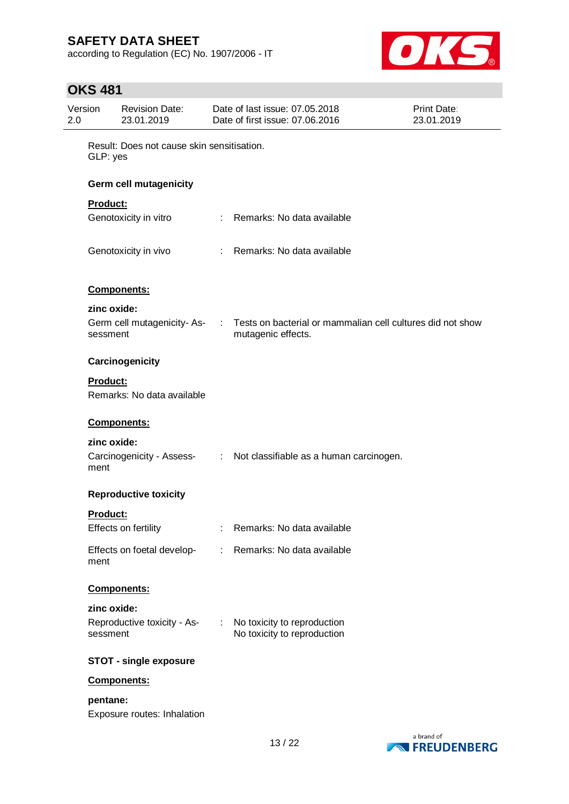according to Regulation (EC) No. 1907/2006 - IT



### **OKS 481**

| Version<br>2.0 |                                                        | <b>Revision Date:</b><br>23.01.2019 |            | Date of last issue: 07.05.2018<br>Date of first issue: 07.06.2016                | Print Date:<br>23.01.2019 |
|----------------|--------------------------------------------------------|-------------------------------------|------------|----------------------------------------------------------------------------------|---------------------------|
|                | Result: Does not cause skin sensitisation.<br>GLP: yes |                                     |            |                                                                                  |                           |
|                |                                                        | Germ cell mutagenicity              |            |                                                                                  |                           |
|                | Product:                                               |                                     |            |                                                                                  |                           |
|                |                                                        | Genotoxicity in vitro               |            | : Remarks: No data available                                                     |                           |
|                |                                                        | Genotoxicity in vivo                |            | : Remarks: No data available                                                     |                           |
|                |                                                        | Components:                         |            |                                                                                  |                           |
|                | zinc oxide:                                            |                                     |            |                                                                                  |                           |
|                | sessment                                               | Germ cell mutagenicity-As-          | $\sim 100$ | Tests on bacterial or mammalian cell cultures did not show<br>mutagenic effects. |                           |
|                |                                                        | Carcinogenicity                     |            |                                                                                  |                           |
|                | Product:                                               | Remarks: No data available          |            |                                                                                  |                           |
|                |                                                        | Components:                         |            |                                                                                  |                           |
|                | zinc oxide:<br>ment                                    |                                     |            | Carcinogenicity - Assess- : Not classifiable as a human carcinogen.              |                           |
|                |                                                        | <b>Reproductive toxicity</b>        |            |                                                                                  |                           |
|                | Product:                                               |                                     |            |                                                                                  |                           |
|                |                                                        | Effects on fertility                |            | Remarks: No data available                                                       |                           |
|                | ment                                                   |                                     |            | Effects on foetal develop- : Remarks: No data available                          |                           |
|                |                                                        | Components:                         |            |                                                                                  |                           |
|                | zinc oxide:<br>sessment                                | Reproductive toxicity - As- :       |            | No toxicity to reproduction<br>No toxicity to reproduction                       |                           |
|                |                                                        | <b>STOT - single exposure</b>       |            |                                                                                  |                           |
|                |                                                        | Components:                         |            |                                                                                  |                           |
|                | pentane:                                               | Exposure routes: Inhalation         |            |                                                                                  |                           |

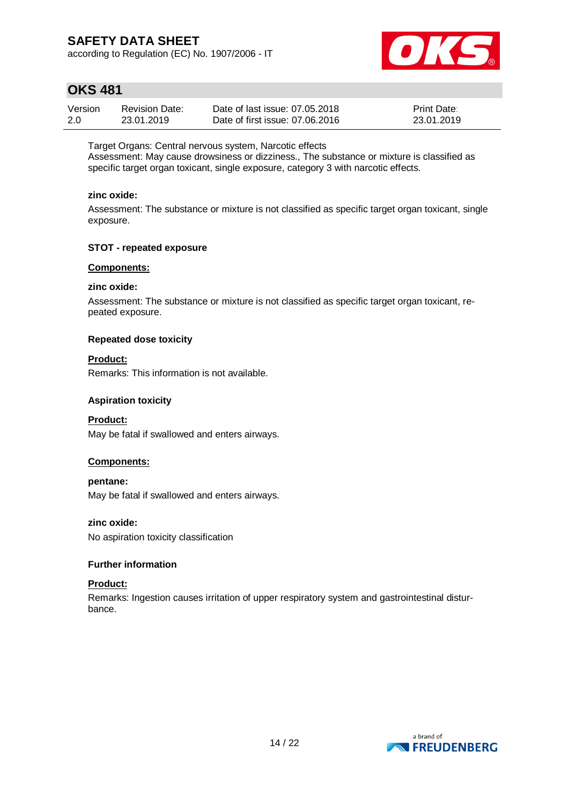according to Regulation (EC) No. 1907/2006 - IT



## **OKS 481**

| Version | <b>Revision Date:</b> | Date of last issue: 07.05.2018  | <b>Print Date:</b> |
|---------|-----------------------|---------------------------------|--------------------|
| 2.0     | 23.01.2019            | Date of first issue: 07.06.2016 | 23.01.2019         |

Target Organs: Central nervous system, Narcotic effects

Assessment: May cause drowsiness or dizziness., The substance or mixture is classified as specific target organ toxicant, single exposure, category 3 with narcotic effects.

### **zinc oxide:**

Assessment: The substance or mixture is not classified as specific target organ toxicant, single exposure.

### **STOT - repeated exposure**

### **Components:**

#### **zinc oxide:**

Assessment: The substance or mixture is not classified as specific target organ toxicant, repeated exposure.

#### **Repeated dose toxicity**

#### **Product:**

Remarks: This information is not available.

#### **Aspiration toxicity**

#### **Product:**

May be fatal if swallowed and enters airways.

#### **Components:**

### **pentane:**

May be fatal if swallowed and enters airways.

#### **zinc oxide:**

No aspiration toxicity classification

#### **Further information**

#### **Product:**

Remarks: Ingestion causes irritation of upper respiratory system and gastrointestinal disturbance.

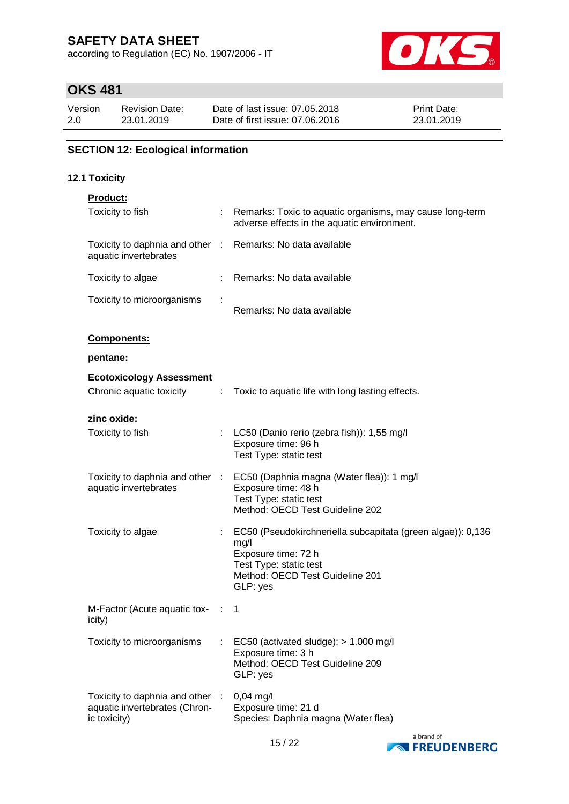according to Regulation (EC) No. 1907/2006 - IT



## **OKS 481**

| Version | Revision Date: | Date of last issue: 07.05.2018  | <b>Print Date:</b> |
|---------|----------------|---------------------------------|--------------------|
| 2.0     | 23.01.2019     | Date of first issue: 07.06.2016 | 23.01.2019         |

### **SECTION 12: Ecological information**

### **12.1 Toxicity**

| <b>Product:</b> |  |
|-----------------|--|
|                 |  |

| Toxicity to fish                                                                    |     | Remarks: Toxic to aquatic organisms, may cause long-term<br>adverse effects in the aquatic environment.                                                             |
|-------------------------------------------------------------------------------------|-----|---------------------------------------------------------------------------------------------------------------------------------------------------------------------|
| Toxicity to daphnia and other : Remarks: No data available<br>aquatic invertebrates |     |                                                                                                                                                                     |
| Toxicity to algae                                                                   |     | : Remarks: No data available                                                                                                                                        |
| Toxicity to microorganisms                                                          |     | Remarks: No data available                                                                                                                                          |
| Components:                                                                         |     |                                                                                                                                                                     |
| pentane:                                                                            |     |                                                                                                                                                                     |
| <b>Ecotoxicology Assessment</b>                                                     |     |                                                                                                                                                                     |
| Chronic aquatic toxicity                                                            | ÷.  | Toxic to aquatic life with long lasting effects.                                                                                                                    |
| zinc oxide:                                                                         |     |                                                                                                                                                                     |
| Toxicity to fish                                                                    |     | : LC50 (Danio rerio (zebra fish)): 1,55 mg/l<br>Exposure time: 96 h<br>Test Type: static test                                                                       |
| Toxicity to daphnia and other :<br>aquatic invertebrates                            |     | EC50 (Daphnia magna (Water flea)): 1 mg/l<br>Exposure time: 48 h<br>Test Type: static test<br>Method: OECD Test Guideline 202                                       |
| Toxicity to algae                                                                   |     | EC50 (Pseudokirchneriella subcapitata (green algae)): 0,136<br>mg/l<br>Exposure time: 72 h<br>Test Type: static test<br>Method: OECD Test Guideline 201<br>GLP: yes |
| M-Factor (Acute aquatic tox-<br>icity)                                              | - 1 | 1                                                                                                                                                                   |
| Toxicity to microorganisms                                                          |     | EC50 (activated sludge): > 1.000 mg/l<br>Exposure time: 3 h<br>Method: OECD Test Guideline 209<br>GLP: yes                                                          |
| Toxicity to daphnia and other<br>aquatic invertebrates (Chron-<br>ic toxicity)      |     | $0,04$ mg/l<br>Exposure time: 21 d<br>Species: Daphnia magna (Water flea)                                                                                           |

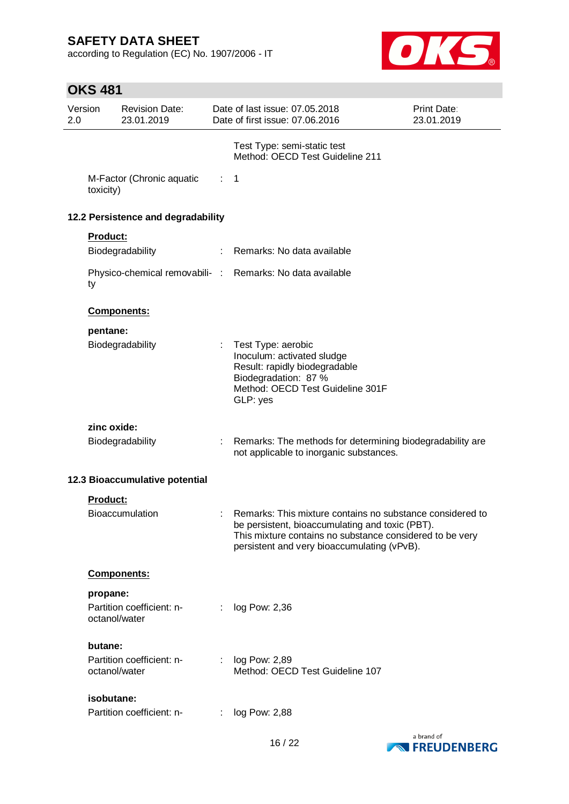according to Regulation (EC) No. 1907/2006 - IT



# **OKS 481**

| Version<br>2.0 |               | <b>Revision Date:</b><br>23.01.2019 |                           | Date of last issue: 07.05.2018<br>Date of first issue: 07.06.2016                                                                                                                                                       | Print Date:<br>23.01.2019 |
|----------------|---------------|-------------------------------------|---------------------------|-------------------------------------------------------------------------------------------------------------------------------------------------------------------------------------------------------------------------|---------------------------|
|                |               |                                     |                           | Test Type: semi-static test<br>Method: OECD Test Guideline 211                                                                                                                                                          |                           |
|                | toxicity)     | M-Factor (Chronic aquatic           | $\mathbb{Z}^{\mathbb{Z}}$ | $\mathbf{1}$                                                                                                                                                                                                            |                           |
|                |               | 12.2 Persistence and degradability  |                           |                                                                                                                                                                                                                         |                           |
|                | Product:      |                                     |                           |                                                                                                                                                                                                                         |                           |
|                |               | Biodegradability                    | $\mathbb{Z}^n$ .          | Remarks: No data available                                                                                                                                                                                              |                           |
|                | ty            |                                     |                           | Physico-chemical removabili- : Remarks: No data available                                                                                                                                                               |                           |
|                |               | Components:                         |                           |                                                                                                                                                                                                                         |                           |
|                | pentane:      |                                     |                           |                                                                                                                                                                                                                         |                           |
|                |               | Biodegradability                    | ÷                         | Test Type: aerobic<br>Inoculum: activated sludge<br>Result: rapidly biodegradable<br>Biodegradation: 87 %<br>Method: OECD Test Guideline 301F<br>GLP: yes                                                               |                           |
|                | zinc oxide:   |                                     |                           |                                                                                                                                                                                                                         |                           |
|                |               | Biodegradability                    | ÷                         | Remarks: The methods for determining biodegradability are<br>not applicable to inorganic substances.                                                                                                                    |                           |
|                |               | 12.3 Bioaccumulative potential      |                           |                                                                                                                                                                                                                         |                           |
|                | Product:      |                                     |                           |                                                                                                                                                                                                                         |                           |
|                |               | <b>Bioaccumulation</b>              |                           | Remarks: This mixture contains no substance considered to<br>be persistent, bioaccumulating and toxic (PBT).<br>This mixture contains no substance considered to be very<br>persistent and very bioaccumulating (vPvB). |                           |
|                |               | Components:                         |                           |                                                                                                                                                                                                                         |                           |
|                | propane:      |                                     |                           |                                                                                                                                                                                                                         |                           |
|                | octanol/water | Partition coefficient: n-           | ÷.                        | log Pow: 2,36                                                                                                                                                                                                           |                           |
|                | butane:       |                                     |                           |                                                                                                                                                                                                                         |                           |
|                | octanol/water | Partition coefficient: n-           | ÷                         | log Pow: 2,89<br>Method: OECD Test Guideline 107                                                                                                                                                                        |                           |
|                | isobutane:    |                                     |                           |                                                                                                                                                                                                                         |                           |
|                |               | Partition coefficient: n-           |                           | log Pow: 2,88                                                                                                                                                                                                           |                           |

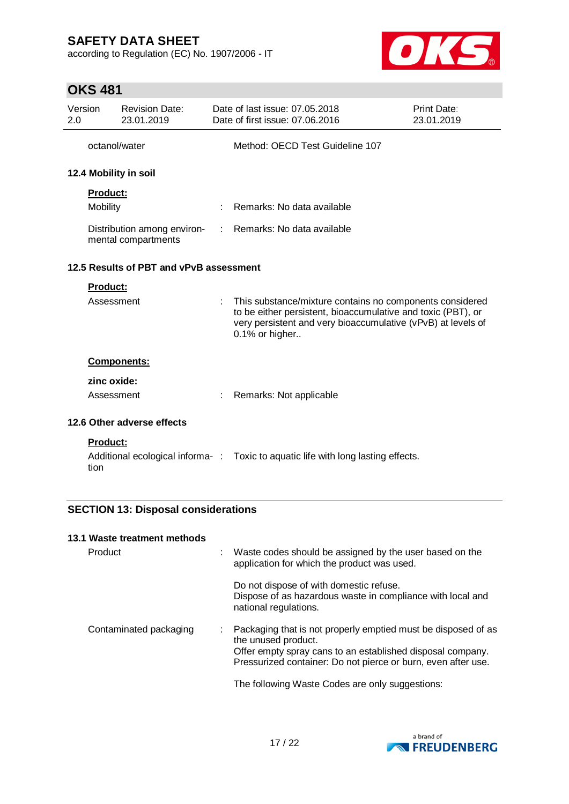according to Regulation (EC) No. 1907/2006 - IT



## **OKS 481**

| Version<br>2.0                                     |                         | <b>Revision Date:</b><br>23.01.2019 |                              | Date of last issue: 07.05.2018<br>Date of first issue: 07,06,2016                                                                                                                                          | <b>Print Date:</b><br>23.01.2019 |
|----------------------------------------------------|-------------------------|-------------------------------------|------------------------------|------------------------------------------------------------------------------------------------------------------------------------------------------------------------------------------------------------|----------------------------------|
|                                                    | octanol/water           |                                     |                              | Method: OECD Test Guideline 107                                                                                                                                                                            |                                  |
|                                                    |                         | 12.4 Mobility in soil               |                              |                                                                                                                                                                                                            |                                  |
|                                                    | <b>Product:</b>         |                                     |                              |                                                                                                                                                                                                            |                                  |
|                                                    | Mobility                |                                     |                              | Remarks: No data available                                                                                                                                                                                 |                                  |
| Distribution among environ-<br>mental compartments |                         |                                     | : Remarks: No data available |                                                                                                                                                                                                            |                                  |
| 12.5 Results of PBT and vPvB assessment            |                         |                                     |                              |                                                                                                                                                                                                            |                                  |
|                                                    | <b>Product:</b>         |                                     |                              |                                                                                                                                                                                                            |                                  |
|                                                    | Assessment              |                                     |                              | This substance/mixture contains no components considered<br>to be either persistent, bioaccumulative and toxic (PBT), or<br>very persistent and very bioaccumulative (vPvB) at levels of<br>0.1% or higher |                                  |
|                                                    |                         | <b>Components:</b>                  |                              |                                                                                                                                                                                                            |                                  |
|                                                    | zinc oxide:             |                                     |                              |                                                                                                                                                                                                            |                                  |
|                                                    | Assessment              |                                     | ÷                            | Remarks: Not applicable                                                                                                                                                                                    |                                  |
| 12.6 Other adverse effects                         |                         |                                     |                              |                                                                                                                                                                                                            |                                  |
|                                                    | <b>Product:</b><br>tion |                                     |                              | Additional ecological informa-: Toxic to aquatic life with long lasting effects.                                                                                                                           |                                  |

### **SECTION 13: Disposal considerations**

#### **13.1 Waste treatment methods**

| Product                | ÷ | Waste codes should be assigned by the user based on the<br>application for which the product was used.                                                                                                              |
|------------------------|---|---------------------------------------------------------------------------------------------------------------------------------------------------------------------------------------------------------------------|
|                        |   | Do not dispose of with domestic refuse.<br>Dispose of as hazardous waste in compliance with local and<br>national regulations.                                                                                      |
| Contaminated packaging |   | Packaging that is not properly emptied must be disposed of as<br>the unused product.<br>Offer empty spray cans to an established disposal company.<br>Pressurized container: Do not pierce or burn, even after use. |
|                        |   | The following Waste Codes are only suggestions:                                                                                                                                                                     |

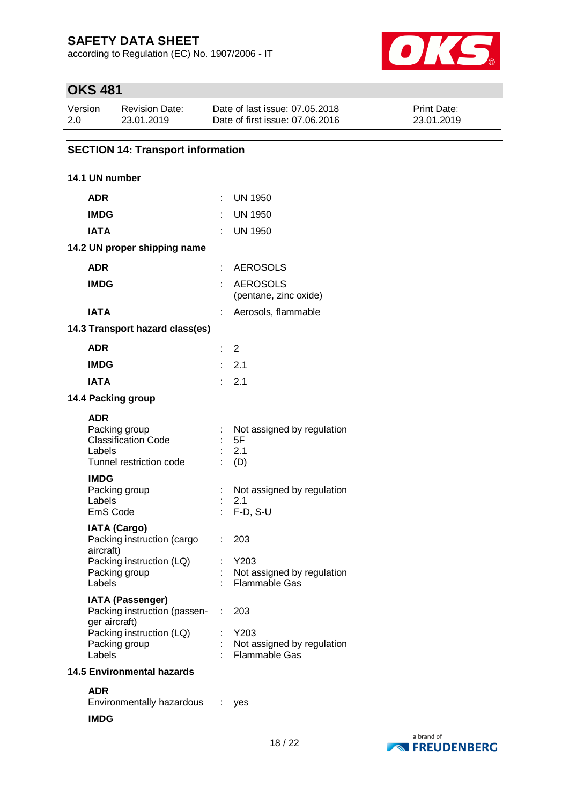according to Regulation (EC) No. 1907/2006 - IT



# **OKS 481**

| Version | Revision Date: | Date of last issue: 07.05.2018  | <b>Print Date:</b> |
|---------|----------------|---------------------------------|--------------------|
| 2.0     | 23.01.2019     | Date of first issue: 07.06.2016 | 23.01.2019         |

### **SECTION 14: Transport information**

### **14.1 UN number**

| <b>ADR</b>                                                  |                                                         | t  | <b>UN 1950</b>                                             |
|-------------------------------------------------------------|---------------------------------------------------------|----|------------------------------------------------------------|
| <b>IMDG</b>                                                 |                                                         |    | <b>UN 1950</b>                                             |
| <b>IATA</b>                                                 |                                                         |    | <b>UN 1950</b>                                             |
|                                                             | 14.2 UN proper shipping name                            |    |                                                            |
| <b>ADR</b>                                                  |                                                         | t. | <b>AEROSOLS</b>                                            |
| <b>IMDG</b>                                                 |                                                         |    | <b>AEROSOLS</b><br>(pentane, zinc oxide)                   |
| IATA                                                        |                                                         |    | Aerosols, flammable                                        |
|                                                             | 14.3 Transport hazard class(es)                         |    |                                                            |
| <b>ADR</b>                                                  |                                                         | t. | 2                                                          |
| <b>IMDG</b>                                                 |                                                         |    | 2.1                                                        |
| <b>IATA</b>                                                 |                                                         | ۰  | 2.1                                                        |
| 14.4 Packing group                                          |                                                         |    |                                                            |
| ADR<br>Packing group<br>Labels                              | <b>Classification Code</b><br>Tunnel restriction code   |    | Not assigned by regulation<br>5F<br>2.1<br>(D)             |
| <b>IMDG</b><br>Packing group<br>Labels<br><b>EmS Code</b>   |                                                         |    | Not assigned by regulation<br>2.1<br>$F-D, S-U$            |
| <b>IATA (Cargo)</b><br>aircraft)<br>Packing group<br>Labels | Packing instruction (cargo<br>Packing instruction (LQ)  | t. | 203<br>Y203<br>Not assigned by regulation<br>Flammable Gas |
| ger aircraft)                                               | <b>IATA (Passenger)</b><br>Packing instruction (passen- |    | : 203<br>Y203                                              |
| Packing group<br>Labels                                     | Packing instruction (LQ)                                |    | Not assigned by regulation<br><b>Flammable Gas</b>         |
|                                                             | <b>14.5 Environmental hazards</b>                       |    |                                                            |

**ADR** Environmentally hazardous : yes

#### **IMDG**

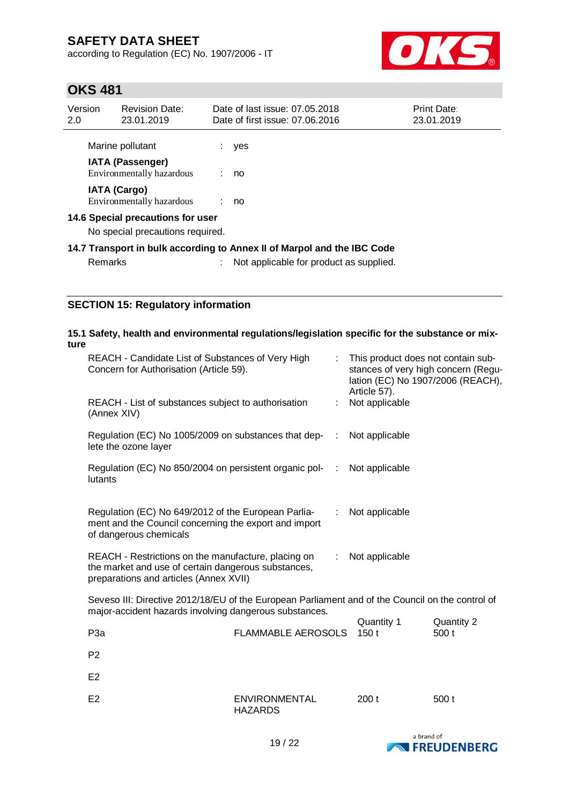according to Regulation (EC) No. 1907/2006 - IT



## **OKS 481**

| Version<br>2.0                                                        | <b>Revision Date:</b><br>23.01.2019                  |  | Date of last issue: 07.05.2018<br>Date of first issue: 07.06.2016       | Print Date:<br>23.01.2019 |
|-----------------------------------------------------------------------|------------------------------------------------------|--|-------------------------------------------------------------------------|---------------------------|
|                                                                       | Marine pollutant                                     |  | yes                                                                     |                           |
|                                                                       | <b>IATA (Passenger)</b><br>Environmentally hazardous |  | no                                                                      |                           |
|                                                                       | <b>IATA (Cargo)</b><br>Environmentally hazardous     |  | : no                                                                    |                           |
| 14.6 Special precautions for user<br>No special precautions required. |                                                      |  |                                                                         |                           |
|                                                                       |                                                      |  | 14.7 Transport in bulk according to Annex II of Marpol and the IBC Code |                           |

Remarks : Not applicable for product as supplied.

### **SECTION 15: Regulatory information**

### **15.1 Safety, health and environmental regulations/legislation specific for the substance or mixture**

| REACH - Candidate List of Substances of Very High<br>Concern for Authorisation (Article 59).                                                         | : This product does not contain sub-<br>stances of very high concern (Regu-<br>lation (EC) No 1907/2006 (REACH),<br>Article 57). |  |
|------------------------------------------------------------------------------------------------------------------------------------------------------|----------------------------------------------------------------------------------------------------------------------------------|--|
| REACH - List of substances subject to authorisation<br>(Annex XIV)                                                                                   | Not applicable                                                                                                                   |  |
| Regulation (EC) No 1005/2009 on substances that dep-<br>lete the ozone layer                                                                         | Not applicable<br>÷                                                                                                              |  |
| Regulation (EC) No 850/2004 on persistent organic pol-<br>lutants                                                                                    | Not applicable<br>÷                                                                                                              |  |
| Regulation (EC) No 649/2012 of the European Parlia-<br>ment and the Council concerning the export and import<br>of dangerous chemicals               | Not applicable<br>÷.                                                                                                             |  |
| REACH - Restrictions on the manufacture, placing on<br>the market and use of certain dangerous substances,<br>preparations and articles (Annex XVII) | Not applicable                                                                                                                   |  |

Seveso III: Directive 2012/18/EU of the European Parliament and of the Council on the control of major-accident hazards involving dangerous substances.

|                  |                                        | Quantity 1 | Quantity 2 |
|------------------|----------------------------------------|------------|------------|
| P <sub>3</sub> a | <b>FLAMMABLE AEROSOLS</b>              | 150 t      | 500 t      |
| P <sub>2</sub>   |                                        |            |            |
| E <sub>2</sub>   |                                        |            |            |
| E <sub>2</sub>   | <b>ENVIRONMENTAL</b><br><b>HAZARDS</b> | 200t       | 500t       |

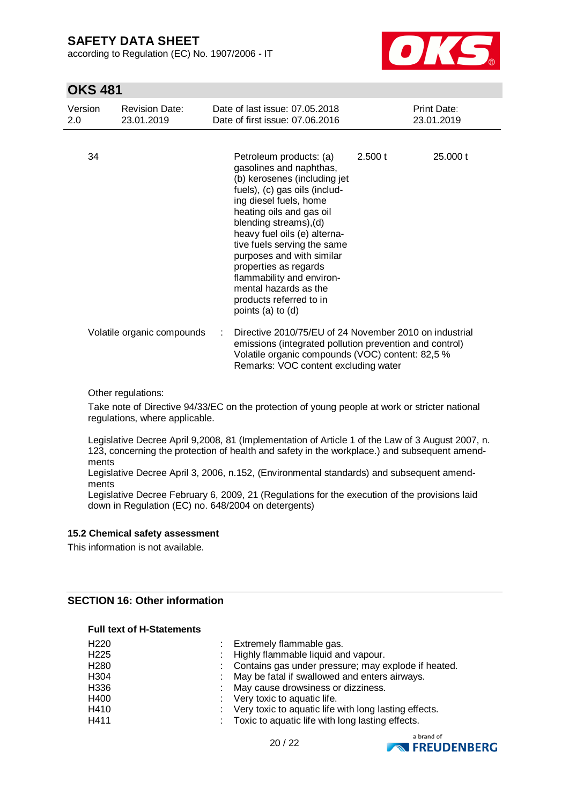according to Regulation (EC) No. 1907/2006 - IT



### **OKS 481**

| Version<br>2.0 | <b>Revision Date:</b><br>23.01.2019 | Date of last issue: 07.05.2018<br>Date of first issue: 07.06.2016                                                                                                                                                                                                                                                                                                                                                              | Print Date:<br>23.01.2019                              |
|----------------|-------------------------------------|--------------------------------------------------------------------------------------------------------------------------------------------------------------------------------------------------------------------------------------------------------------------------------------------------------------------------------------------------------------------------------------------------------------------------------|--------------------------------------------------------|
| 34             |                                     | Petroleum products: (a)<br>gasolines and naphthas,<br>(b) kerosenes (including jet<br>fuels), (c) gas oils (includ-<br>ing diesel fuels, home<br>heating oils and gas oil<br>blending streams), (d)<br>heavy fuel oils (e) alterna-<br>tive fuels serving the same<br>purposes and with similar<br>properties as regards<br>flammability and environ-<br>mental hazards as the<br>products referred to in<br>points (a) to (d) | 25.000 t<br>2.500 t                                    |
|                | Volatile organic compounds          | emissions (integrated pollution prevention and control)<br>Volatile organic compounds (VOC) content: 82,5 %<br>Remarks: VOC content excluding water                                                                                                                                                                                                                                                                            | Directive 2010/75/EU of 24 November 2010 on industrial |

Other regulations:

Take note of Directive 94/33/EC on the protection of young people at work or stricter national regulations, where applicable.

Legislative Decree April 9,2008, 81 (Implementation of Article 1 of the Law of 3 August 2007, n. 123, concerning the protection of health and safety in the workplace.) and subsequent amendments

Legislative Decree April 3, 2006, n.152, (Environmental standards) and subsequent amendments

Legislative Decree February 6, 2009, 21 (Regulations for the execution of the provisions laid down in Regulation (EC) no. 648/2004 on detergents)

#### **15.2 Chemical safety assessment**

This information is not available.

### **SECTION 16: Other information**

#### **Full text of H-Statements**

| H220 | Extremely flammable gas.                              |
|------|-------------------------------------------------------|
| H225 | : Highly flammable liquid and vapour.                 |
| H280 | Contains gas under pressure; may explode if heated.   |
| H304 | May be fatal if swallowed and enters airways.         |
| H336 | May cause drowsiness or dizziness.                    |
| H400 | : Very toxic to aquatic life.                         |
| H410 | Very toxic to aquatic life with long lasting effects. |
| H411 | Toxic to aquatic life with long lasting effects.      |
|      |                                                       |



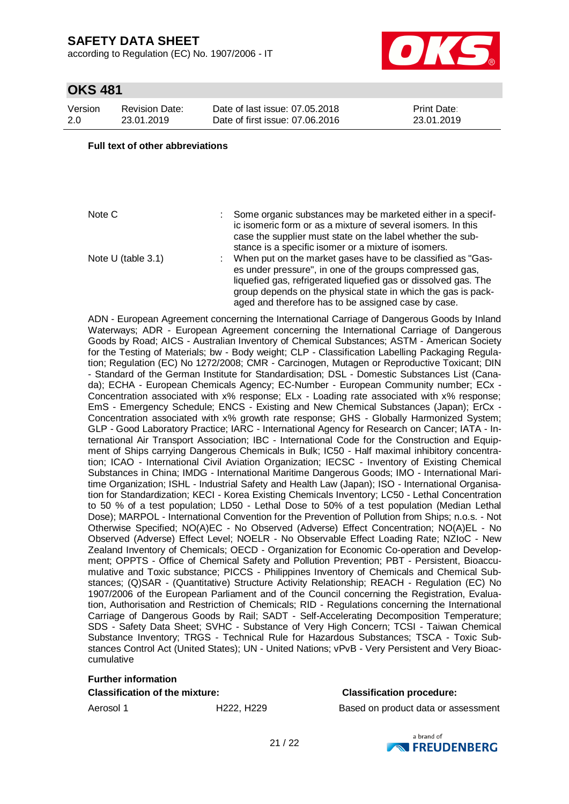according to Regulation (EC) No. 1907/2006 - IT



## **OKS 481**

| Version | <b>Revision Date:</b> |
|---------|-----------------------|
| 2.0     | 23.01.2019            |

Date of last issue: 07.05.2018 Date of first issue: 07.06.2016 Print Date: 23.01.2019

#### **Full text of other abbreviations**

Note C : Some organic substances may be marketed either in a specific isomeric form or as a mixture of several isomers. In this case the supplier must state on the label whether the substance is a specific isomer or a mixture of isomers. Note U (table 3.1) : When put on the market gases have to be classified as "Gases under pressure", in one of the groups compressed gas, liquefied gas, refrigerated liquefied gas or dissolved gas. The group depends on the physical state in which the gas is packaged and therefore has to be assigned case by case.

ADN - European Agreement concerning the International Carriage of Dangerous Goods by Inland Waterways; ADR - European Agreement concerning the International Carriage of Dangerous Goods by Road; AICS - Australian Inventory of Chemical Substances; ASTM - American Society for the Testing of Materials; bw - Body weight; CLP - Classification Labelling Packaging Regulation; Regulation (EC) No 1272/2008; CMR - Carcinogen, Mutagen or Reproductive Toxicant; DIN - Standard of the German Institute for Standardisation; DSL - Domestic Substances List (Canada); ECHA - European Chemicals Agency; EC-Number - European Community number; ECx - Concentration associated with x% response; ELx - Loading rate associated with x% response; EmS - Emergency Schedule; ENCS - Existing and New Chemical Substances (Japan); ErCx - Concentration associated with x% growth rate response; GHS - Globally Harmonized System; GLP - Good Laboratory Practice; IARC - International Agency for Research on Cancer; IATA - International Air Transport Association; IBC - International Code for the Construction and Equipment of Ships carrying Dangerous Chemicals in Bulk; IC50 - Half maximal inhibitory concentration; ICAO - International Civil Aviation Organization; IECSC - Inventory of Existing Chemical Substances in China; IMDG - International Maritime Dangerous Goods; IMO - International Maritime Organization; ISHL - Industrial Safety and Health Law (Japan); ISO - International Organisation for Standardization; KECI - Korea Existing Chemicals Inventory; LC50 - Lethal Concentration to 50 % of a test population; LD50 - Lethal Dose to 50% of a test population (Median Lethal Dose); MARPOL - International Convention for the Prevention of Pollution from Ships; n.o.s. - Not Otherwise Specified; NO(A)EC - No Observed (Adverse) Effect Concentration; NO(A)EL - No Observed (Adverse) Effect Level; NOELR - No Observable Effect Loading Rate; NZIoC - New Zealand Inventory of Chemicals; OECD - Organization for Economic Co-operation and Development; OPPTS - Office of Chemical Safety and Pollution Prevention; PBT - Persistent, Bioaccumulative and Toxic substance; PICCS - Philippines Inventory of Chemicals and Chemical Substances; (Q)SAR - (Quantitative) Structure Activity Relationship; REACH - Regulation (EC) No 1907/2006 of the European Parliament and of the Council concerning the Registration, Evaluation, Authorisation and Restriction of Chemicals; RID - Regulations concerning the International Carriage of Dangerous Goods by Rail; SADT - Self-Accelerating Decomposition Temperature; SDS - Safety Data Sheet; SVHC - Substance of Very High Concern; TCSI - Taiwan Chemical Substance Inventory; TRGS - Technical Rule for Hazardous Substances; TSCA - Toxic Substances Control Act (United States); UN - United Nations; vPvB - Very Persistent and Very Bioaccumulative

#### **Further information**

**Classification of the mixture: Classification procedure:**

Aerosol 1 **H222, H229** Based on product data or assessment

a hrand of **NATIONAL FREUDENBERG**